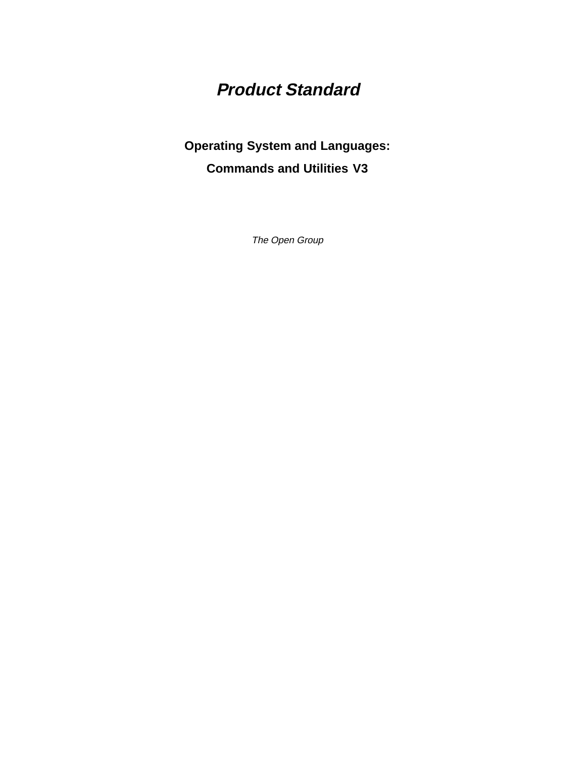# **Product Standard**

# **Operating System and Languages: Commands and Utilities V3**

The Open Group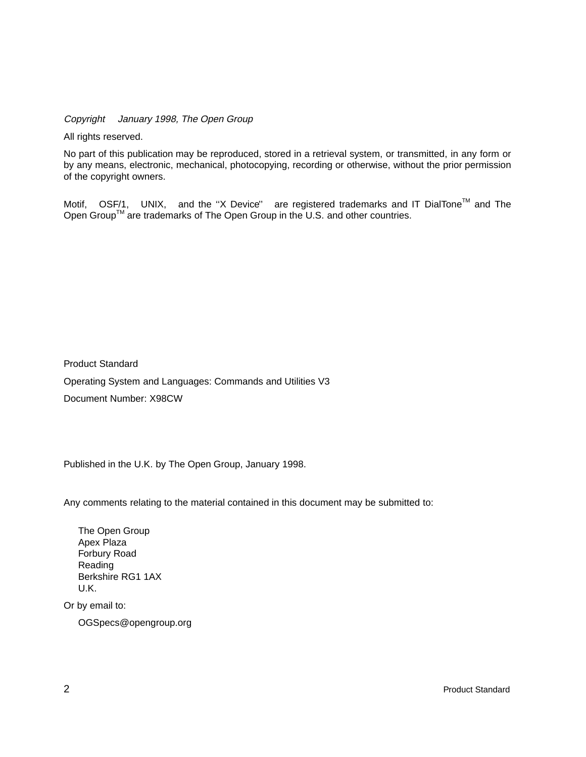Copyright  $\odot$  January 1998, The Open Group

All rights reserved.

No part of this publication may be reproduced, stored in a retrieval system, or transmitted, in any form or by any means, electronic, mechanical, photocopying, recording or otherwise, without the prior permission of the copyright owners.

Motif,  $^{\circledR}$  OSF/1,  $^{\circledR}$  UNIX,  $^{\circledR}$  and the "X Device" $^{\circledR}$  are registered trademarks and IT DialTone<sup>TM</sup> and The Open Group<sup>TM</sup> are trademarks of The Open Group in the U.S. and other countries.

Product Standard Operating System and Languages: Commands and Utilities V3 Document Number: X98CW

Published in the U.K. by The Open Group, January 1998.

Any comments relating to the material contained in this document may be submitted to:

The Open Group Apex Plaza Forbury Road Reading Berkshire RG1 1AX U.K.

Or by email to:

OGSpecs@opengroup.org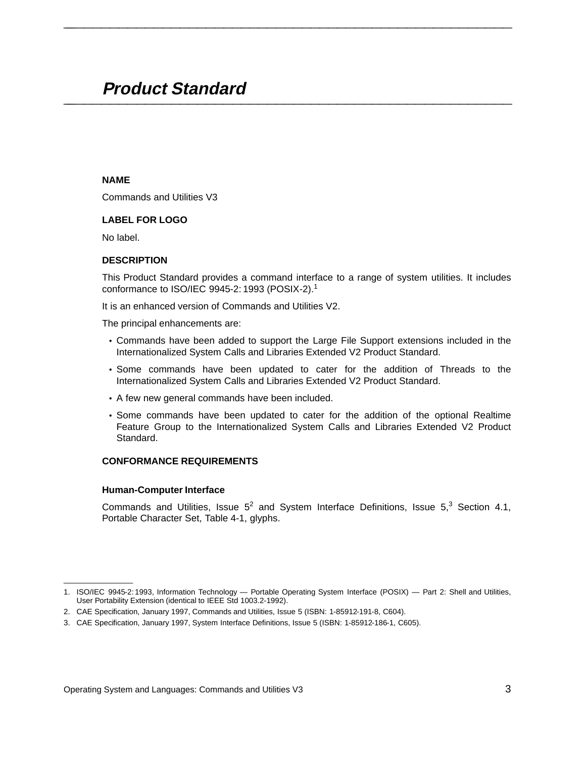# **Product Standard \_\_\_\_\_\_\_\_\_\_\_\_\_\_\_\_\_\_\_\_\_\_\_\_\_\_\_\_\_\_\_\_\_\_\_\_\_\_\_\_\_\_\_\_\_\_\_\_\_\_\_\_**

# **NAME**

Commands and Utilities V3

# **LABEL FOR LOGO**

No label.

# **DESCRIPTION**

This Product Standard provides a command interface to a range of system utilities. It includes conformance to ISO/IEC 9945-2: 1993 (POSIX-2).<sup>1</sup>

**\_\_\_\_\_\_\_\_\_\_\_\_\_\_\_\_\_\_\_\_\_\_\_\_\_\_\_\_\_\_\_\_\_\_\_\_\_\_\_\_\_\_\_\_\_\_\_\_\_\_\_\_**

It is an enhanced version of Commands and Utilities V2.

The principal enhancements are:

- Commands have been added to support the Large File Support extensions included in the Internationalized System Calls and Libraries Extended V2 Product Standard.
- Some commands have been updated to cater for the addition of Threads to the Internationalized System Calls and Libraries Extended V2 Product Standard.
- A few new general commands have been included.
- Some commands have been updated to cater for the addition of the optional Realtime Feature Group to the Internationalized System Calls and Libraries Extended V2 Product Standard.

# **CONFORMANCE REQUIREMENTS**

# **Human-Computer Interface**

\_\_\_\_\_\_\_\_\_\_\_\_\_\_\_\_\_\_

Commands and Utilities, Issue  $5^2$  and System Interface Definitions, Issue  $5<sup>3</sup>$  Section 4.1, Portable Character Set, Table 4-1, glyphs.

<sup>1.</sup> ISO/IEC 9945-2: 1993, Information Technology — Portable Operating System Interface (POSIX) — Part 2: Shell and Utilities, User Portability Extension (identical to IEEE Std 1003.2-1992).

<sup>2.</sup> CAE Specification, January 1997, Commands and Utilities, Issue 5 (ISBN: 1-85912-191-8, C604).

<sup>3.</sup> CAE Specification, January 1997, System Interface Definitions, Issue 5 (ISBN: 1-85912-186-1, C605).